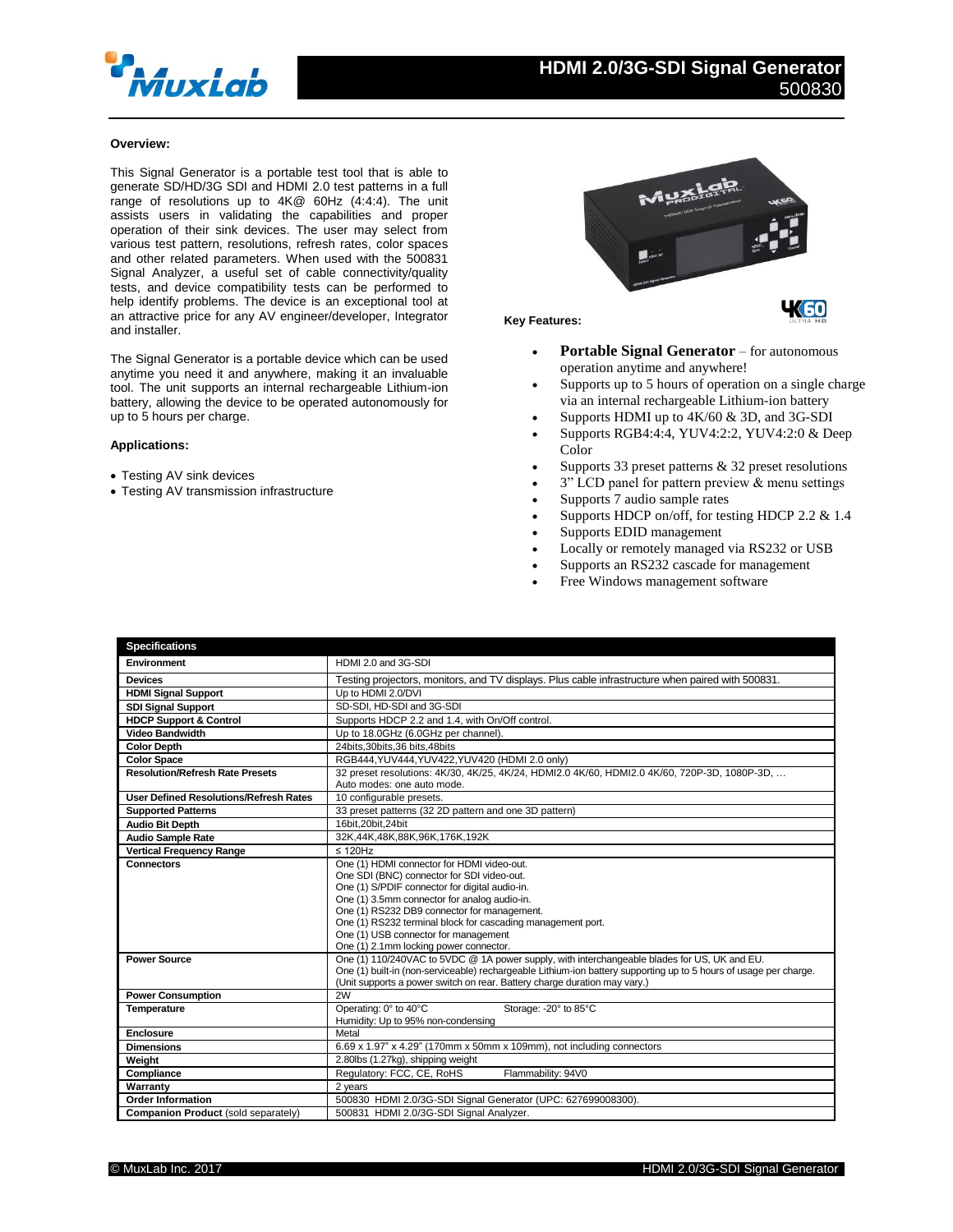

# **Overview:**

This Signal Generator is a portable test tool that is able to generate SD/HD/3G SDI and HDMI 2.0 test patterns in a full range of resolutions up to 4K@ 60Hz (4:4:4). The unit assists users in validating the capabilities and proper operation of their sink devices. The user may select from various test pattern, resolutions, refresh rates, color spaces and other related parameters. When used with the 500831 Signal Analyzer, a useful set of cable connectivity/quality tests, and device compatibility tests can be performed to help identify problems. The device is an exceptional tool at an attractive price for any AV engineer/developer, Integrator and installer.

The Signal Generator is a portable device which can be used anytime you need it and anywhere, making it an invaluable tool. The unit supports an internal rechargeable Lithium-ion battery, allowing the device to be operated autonomously for up to 5 hours per charge.

## **Applications:**

- Testing AV sink devices
- Testing AV transmission infrastructure



### **Key Features:**

- **Portable Signal Generator** for autonomous operation anytime and anywhere!
- Supports up to 5 hours of operation on a single charge via an internal rechargeable Lithium-ion battery
- Supports HDMI up to 4K/60 & 3D, and 3G-SDI
- Supports RGB4:4:4, YUV4:2:2, YUV4:2:0 & Deep Color
- Supports 33 preset patterns & 32 preset resolutions
- 3" LCD panel for pattern preview & menu settings
- Supports 7 audio sample rates
- Supports HDCP on/off, for testing HDCP 2.2 & 1.4
- Supports EDID management
- Locally or remotely managed via RS232 or USB
- Supports an RS232 cascade for management
- Free Windows management software

| <b>Specifications</b>                         |                                                                                                                   |
|-----------------------------------------------|-------------------------------------------------------------------------------------------------------------------|
| Environment                                   | HDMI 2.0 and 3G-SDI                                                                                               |
| <b>Devices</b>                                | Testing projectors, monitors, and TV displays. Plus cable infrastructure when paired with 500831.                 |
| <b>HDMI Signal Support</b>                    | Up to HDMI 2.0/DVI                                                                                                |
| <b>SDI Signal Support</b>                     | SD-SDI, HD-SDI and 3G-SDI                                                                                         |
| <b>HDCP Support &amp; Control</b>             | Supports HDCP 2.2 and 1.4, with On/Off control.                                                                   |
| <b>Video Bandwidth</b>                        | Up to 18.0GHz (6.0GHz per channel).                                                                               |
| <b>Color Depth</b>                            | 24bits.30bits.36 bits.48bits                                                                                      |
| <b>Color Space</b>                            | RGB444, YUV444, YUV422, YUV420 (HDMI 2.0 only)                                                                    |
| <b>Resolution/Refresh Rate Presets</b>        | 32 preset resolutions: 4K/30, 4K/25, 4K/24, HDMI2.0 4K/60, HDMI2.0 4K/60, 720P-3D, 1080P-3D,                      |
|                                               | Auto modes: one auto mode.                                                                                        |
| <b>User Defined Resolutions/Refresh Rates</b> | 10 configurable presets.                                                                                          |
| <b>Supported Patterns</b>                     | 33 preset patterns (32 2D pattern and one 3D pattern)                                                             |
| <b>Audio Bit Depth</b>                        | 16bit.20bit.24bit                                                                                                 |
| <b>Audio Sample Rate</b>                      | 32K,44K,48K,88K,96K,176K,192K                                                                                     |
| <b>Vertical Frequency Range</b>               | $\leq 120$ Hz                                                                                                     |
| <b>Connectors</b>                             | One (1) HDMI connector for HDMI video-out.                                                                        |
|                                               | One SDI (BNC) connector for SDI video-out.                                                                        |
|                                               | One (1) S/PDIF connector for digital audio-in.                                                                    |
|                                               | One (1) 3.5mm connector for analog audio-in.                                                                      |
|                                               | One (1) RS232 DB9 connector for management.<br>One (1) RS232 terminal block for cascading management port.        |
|                                               | One (1) USB connector for management                                                                              |
|                                               | One (1) 2.1mm locking power connector.                                                                            |
| <b>Power Source</b>                           | One (1) 110/240VAC to 5VDC @ 1A power supply, with interchangeable blades for US, UK and EU.                      |
|                                               | One (1) built-in (non-serviceable) rechargeable Lithium-ion battery supporting up to 5 hours of usage per charge. |
|                                               | (Unit supports a power switch on rear. Battery charge duration may vary.)                                         |
| <b>Power Consumption</b>                      | 2W                                                                                                                |
| Temperature                                   | Operating: 0° to 40°C<br>Storage: - 20° to 85°C                                                                   |
|                                               | Humidity: Up to 95% non-condensing                                                                                |
| <b>Enclosure</b>                              | Metal                                                                                                             |
| <b>Dimensions</b>                             | 6.69 x 1.97" x 4.29" (170mm x 50mm x 109mm), not including connectors                                             |
| Weight                                        | 2.80lbs (1.27kg), shipping weight                                                                                 |
| Compliance                                    | Regulatory: FCC, CE, RoHS<br>Flammability: 94V0                                                                   |
| Warranty                                      | 2 years                                                                                                           |
| <b>Order Information</b>                      | 500830 HDMI 2.0/3G-SDI Signal Generator (UPC: 627699008300).                                                      |
| Companion Product (sold separately)           | 500831 HDMI 2.0/3G-SDI Signal Analyzer.                                                                           |